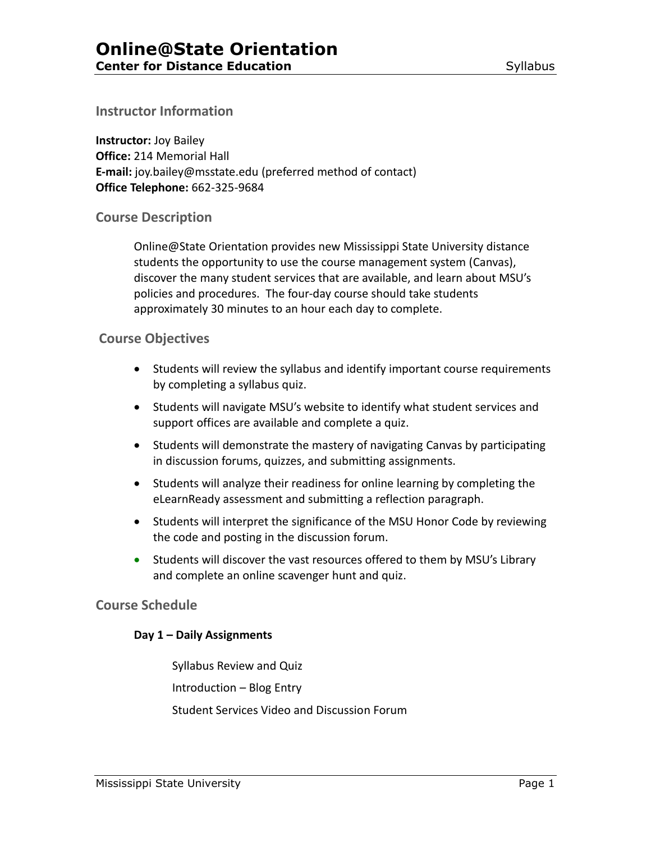## **Instructor Information**

**Instructor:** Joy Bailey **Office:** 214 Memorial Hall **E-mail:** joy.bailey@msstate.edu (preferred method of contact) **Office Telephone:** 662-325-9684

# **Course Description**

Online@State Orientation provides new Mississippi State University distance students the opportunity to use the course management system (Canvas), discover the many student services that are available, and learn about MSU's policies and procedures. The four-day course should take students approximately 30 minutes to an hour each day to complete.

### **Course Objectives**

- Students will review the syllabus and identify important course requirements by completing a syllabus quiz.
- Students will navigate MSU's website to identify what student services and support offices are available and complete a quiz.
- Students will demonstrate the mastery of navigating Canvas by participating in discussion forums, quizzes, and submitting assignments.
- Students will analyze their readiness for online learning by completing the eLearnReady assessment and submitting a reflection paragraph.
- Students will interpret the significance of the MSU Honor Code by reviewing the code and posting in the discussion forum.
- Students will discover the vast resources offered to them by MSU's Library and complete an online scavenger hunt and quiz.

# **Course Schedule**

### **Day 1 – Daily Assignments**

Syllabus Review and Quiz Introduction – Blog Entry Student Services Video and Discussion Forum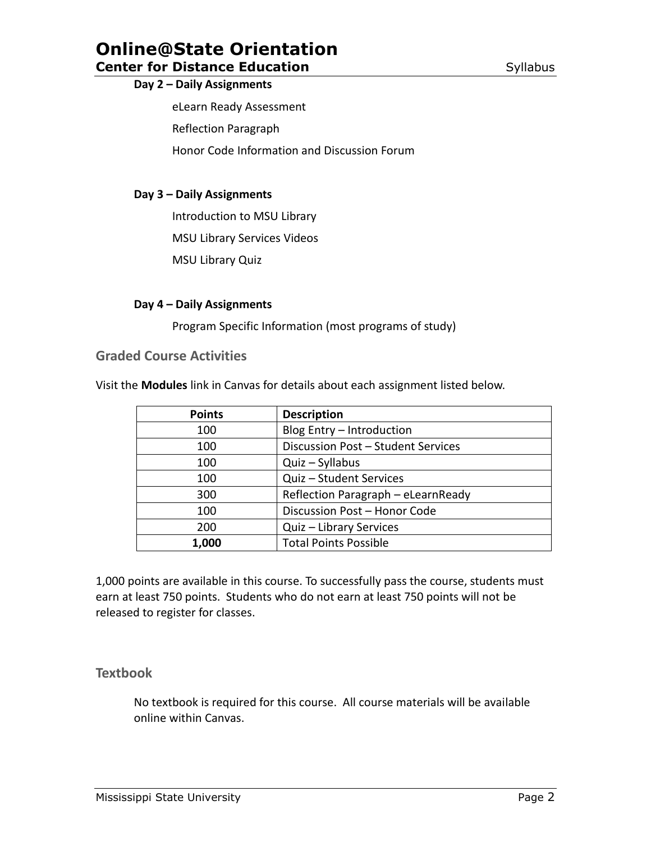# **Online@State Orientation**

# **Center for Distance Education Center for Distance Education**

#### **Day 2 – Daily Assignments**

eLearn Ready Assessment

Reflection Paragraph

Honor Code Information and Discussion Forum

### **Day 3 – Daily Assignments**

Introduction to MSU Library

MSU Library Services Videos

MSU Library Quiz

#### **Day 4 – Daily Assignments**

Program Specific Information (most programs of study)

# **Graded Course Activities**

Visit the **Modules** link in Canvas for details about each assignment listed below.

| <b>Points</b> | <b>Description</b>                 |
|---------------|------------------------------------|
| 100           | Blog Entry - Introduction          |
| 100           | Discussion Post - Student Services |
| 100           | Quiz - Syllabus                    |
| 100           | Quiz - Student Services            |
| 300           | Reflection Paragraph - eLearnReady |
| 100           | Discussion Post - Honor Code       |
| 200           | Quiz - Library Services            |
| 1,000         | <b>Total Points Possible</b>       |

1,000 points are available in this course. To successfully pass the course, students must earn at least 750 points. Students who do not earn at least 750 points will not be released to register for classes.

### **Textbook**

No textbook is required for this course. All course materials will be available online within Canvas.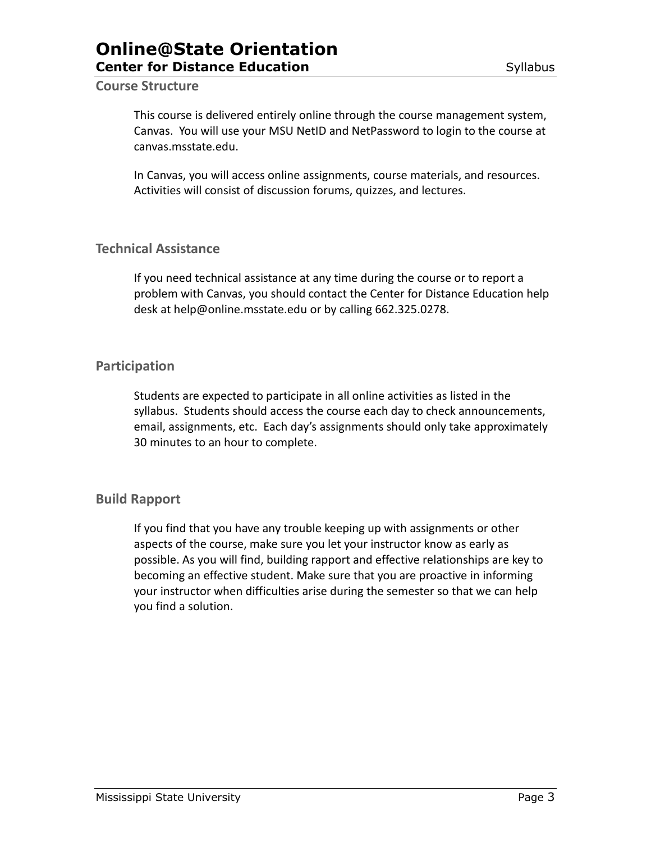# **Online@State Orientation Center for Distance Education** Syllabus

#### **Course Structure**

This course is delivered entirely online through the course management system, Canvas. You will use your MSU NetID and NetPassword to login to the course at canvas.msstate.edu.

In Canvas, you will access online assignments, course materials, and resources. Activities will consist of discussion forums, quizzes, and lectures.

### **Technical Assistance**

If you need technical assistance at any time during the course or to report a problem with Canvas, you should contact the Center for Distance Education help desk at help@online.msstate.edu or by calling 662.325.0278.

### **Participation**

Students are expected to participate in all online activities as listed in the syllabus. Students should access the course each day to check announcements, email, assignments, etc. Each day's assignments should only take approximately 30 minutes to an hour to complete.

# **Build Rapport**

If you find that you have any trouble keeping up with assignments or other aspects of the course, make sure you let your instructor know as early as possible. As you will find, building rapport and effective relationships are key to becoming an effective student. Make sure that you are proactive in informing your instructor when difficulties arise during the semester so that we can help you find a solution.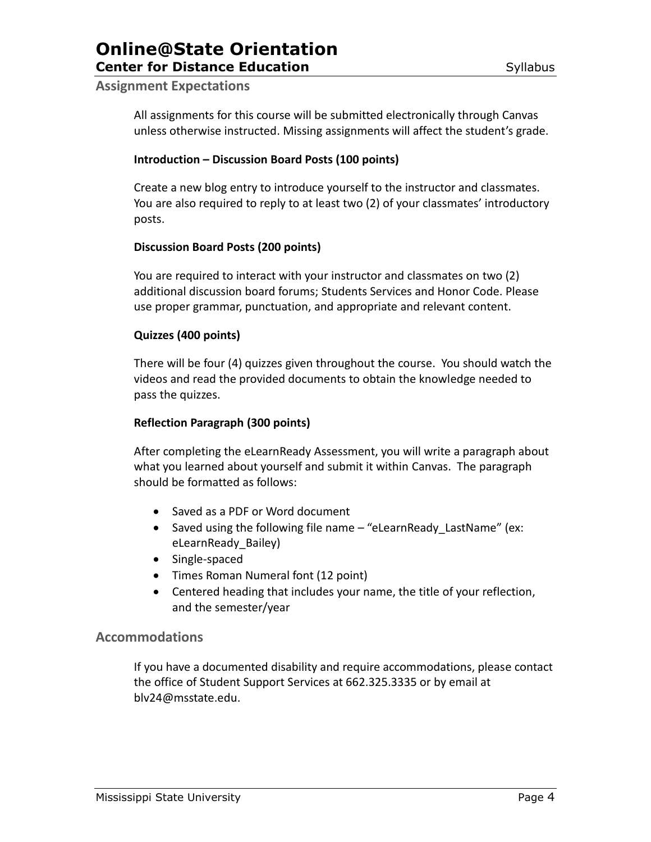# **Online@State Orientation Center for Distance Education** Contraction Syllabus

#### **Assignment Expectations**

All assignments for this course will be submitted electronically through Canvas unless otherwise instructed. Missing assignments will affect the student's grade.

#### **Introduction – Discussion Board Posts (100 points)**

Create a new blog entry to introduce yourself to the instructor and classmates. You are also required to reply to at least two (2) of your classmates' introductory posts.

#### **Discussion Board Posts (200 points)**

You are required to interact with your instructor and classmates on two (2) additional discussion board forums; Students Services and Honor Code. Please use proper grammar, punctuation, and appropriate and relevant content.

#### **Quizzes (400 points)**

There will be four (4) quizzes given throughout the course. You should watch the videos and read the provided documents to obtain the knowledge needed to pass the quizzes.

#### **Reflection Paragraph (300 points)**

After completing the eLearnReady Assessment, you will write a paragraph about what you learned about yourself and submit it within Canvas. The paragraph should be formatted as follows:

- Saved as a PDF or Word document
- Saved using the following file name "eLearnReady LastName" (ex: eLearnReady\_Bailey)
- Single-spaced
- Times Roman Numeral font (12 point)
- Centered heading that includes your name, the title of your reflection, and the semester/year

#### **Accommodations**

If you have a documented disability and require accommodations, please contact the office of Student Support Services at 662.325.3335 or by email at blv24@msstate.edu.